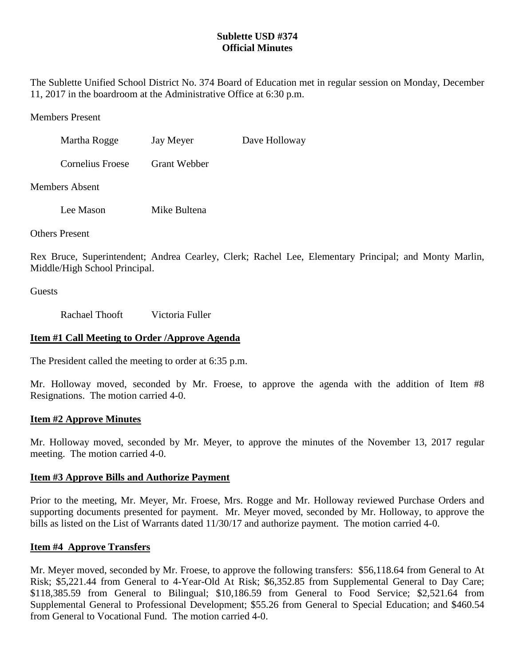# **Sublette USD #374 Official Minutes**

The Sublette Unified School District No. 374 Board of Education met in regular session on Monday, December 11, 2017 in the boardroom at the Administrative Office at 6:30 p.m.

Members Present

| Martha Rogge     | Jay Meyer           | Dave Holloway |
|------------------|---------------------|---------------|
| Cornelius Froese | <b>Grant Webber</b> |               |

Members Absent

Lee Mason Mike Bultena

Others Present

Rex Bruce, Superintendent; Andrea Cearley, Clerk; Rachel Lee, Elementary Principal; and Monty Marlin, Middle/High School Principal.

**Guests** 

Rachael Thooft Victoria Fuller

# **Item #1 Call Meeting to Order /Approve Agenda**

The President called the meeting to order at 6:35 p.m.

Mr. Holloway moved, seconded by Mr. Froese, to approve the agenda with the addition of Item #8 Resignations. The motion carried 4-0.

# **Item #2 Approve Minutes**

Mr. Holloway moved, seconded by Mr. Meyer, to approve the minutes of the November 13, 2017 regular meeting. The motion carried 4-0.

### **Item #3 Approve Bills and Authorize Payment**

Prior to the meeting, Mr. Meyer, Mr. Froese, Mrs. Rogge and Mr. Holloway reviewed Purchase Orders and supporting documents presented for payment. Mr. Meyer moved, seconded by Mr. Holloway, to approve the bills as listed on the List of Warrants dated 11/30/17 and authorize payment. The motion carried 4-0.

# **Item #4 Approve Transfers**

Mr. Meyer moved, seconded by Mr. Froese, to approve the following transfers: \$56,118.64 from General to At Risk; \$5,221.44 from General to 4-Year-Old At Risk; \$6,352.85 from Supplemental General to Day Care; \$118,385.59 from General to Bilingual; \$10,186.59 from General to Food Service; \$2,521.64 from Supplemental General to Professional Development; \$55.26 from General to Special Education; and \$460.54 from General to Vocational Fund. The motion carried 4-0.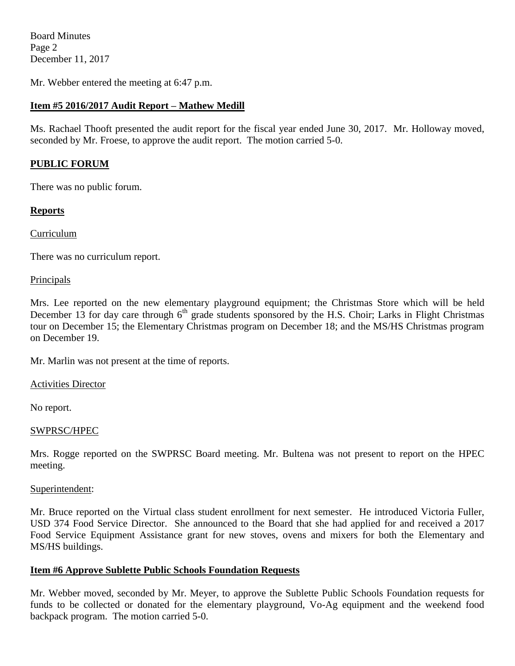Board Minutes Page 2 December 11, 2017

Mr. Webber entered the meeting at 6:47 p.m.

# **Item #5 2016/2017 Audit Report – Mathew Medill**

Ms. Rachael Thooft presented the audit report for the fiscal year ended June 30, 2017. Mr. Holloway moved, seconded by Mr. Froese, to approve the audit report. The motion carried 5-0.

## **PUBLIC FORUM**

There was no public forum.

## **Reports**

Curriculum

There was no curriculum report.

#### Principals

Mrs. Lee reported on the new elementary playground equipment; the Christmas Store which will be held December 13 for day care through  $6<sup>th</sup>$  grade students sponsored by the H.S. Choir; Larks in Flight Christmas tour on December 15; the Elementary Christmas program on December 18; and the MS/HS Christmas program on December 19.

Mr. Marlin was not present at the time of reports.

Activities Director

No report.

### SWPRSC/HPEC

Mrs. Rogge reported on the SWPRSC Board meeting. Mr. Bultena was not present to report on the HPEC meeting.

#### Superintendent:

Mr. Bruce reported on the Virtual class student enrollment for next semester. He introduced Victoria Fuller, USD 374 Food Service Director. She announced to the Board that she had applied for and received a 2017 Food Service Equipment Assistance grant for new stoves, ovens and mixers for both the Elementary and MS/HS buildings.

### **Item #6 Approve Sublette Public Schools Foundation Requests**

Mr. Webber moved, seconded by Mr. Meyer, to approve the Sublette Public Schools Foundation requests for funds to be collected or donated for the elementary playground, Vo-Ag equipment and the weekend food backpack program. The motion carried 5-0.